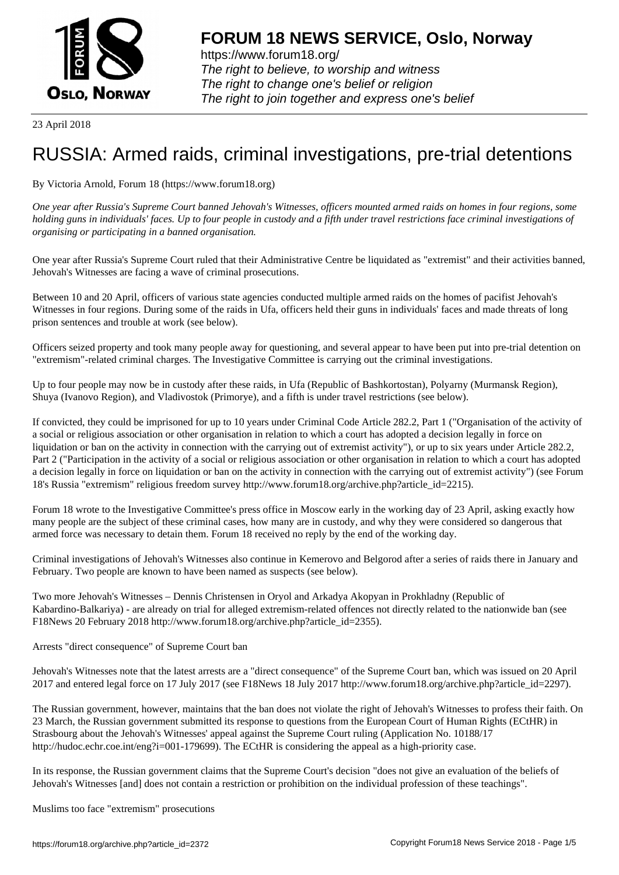

https://www.forum18.org/ The right to believe, to worship and witness The right to change one's belief or religion [The right to join together a](https://www.forum18.org/)nd express one's belief

23 April 2018

## [RUSSIA: Armed](https://www.forum18.org) raids, criminal investigations, pre-trial detentions

By Victoria Arnold, Forum 18 (https://www.forum18.org)

*One year after Russia's Supreme Court banned Jehovah's Witnesses, officers mounted armed raids on homes in four regions, some holding guns in individuals' faces. Up to four people in custody and a fifth under travel restrictions face criminal investigations of organising or participating in a banned organisation.*

One year after Russia's Supreme Court ruled that their Administrative Centre be liquidated as "extremist" and their activities banned, Jehovah's Witnesses are facing a wave of criminal prosecutions.

Between 10 and 20 April, officers of various state agencies conducted multiple armed raids on the homes of pacifist Jehovah's Witnesses in four regions. During some of the raids in Ufa, officers held their guns in individuals' faces and made threats of long prison sentences and trouble at work (see below).

Officers seized property and took many people away for questioning, and several appear to have been put into pre-trial detention on "extremism"-related criminal charges. The Investigative Committee is carrying out the criminal investigations.

Up to four people may now be in custody after these raids, in Ufa (Republic of Bashkortostan), Polyarny (Murmansk Region), Shuya (Ivanovo Region), and Vladivostok (Primorye), and a fifth is under travel restrictions (see below).

If convicted, they could be imprisoned for up to 10 years under Criminal Code Article 282.2, Part 1 ("Organisation of the activity of a social or religious association or other organisation in relation to which a court has adopted a decision legally in force on liquidation or ban on the activity in connection with the carrying out of extremist activity"), or up to six years under Article 282.2, Part 2 ("Participation in the activity of a social or religious association or other organisation in relation to which a court has adopted a decision legally in force on liquidation or ban on the activity in connection with the carrying out of extremist activity") (see Forum 18's Russia "extremism" religious freedom survey http://www.forum18.org/archive.php?article\_id=2215).

Forum 18 wrote to the Investigative Committee's press office in Moscow early in the working day of 23 April, asking exactly how many people are the subject of these criminal cases, how many are in custody, and why they were considered so dangerous that armed force was necessary to detain them. Forum 18 received no reply by the end of the working day.

Criminal investigations of Jehovah's Witnesses also continue in Kemerovo and Belgorod after a series of raids there in January and February. Two people are known to have been named as suspects (see below).

Two more Jehovah's Witnesses – Dennis Christensen in Oryol and Arkadya Akopyan in Prokhladny (Republic of Kabardino-Balkariya) - are already on trial for alleged extremism-related offences not directly related to the nationwide ban (see F18News 20 February 2018 http://www.forum18.org/archive.php?article\_id=2355).

Arrests "direct consequence" of Supreme Court ban

Jehovah's Witnesses note that the latest arrests are a "direct consequence" of the Supreme Court ban, which was issued on 20 April 2017 and entered legal force on 17 July 2017 (see F18News 18 July 2017 http://www.forum18.org/archive.php?article\_id=2297).

The Russian government, however, maintains that the ban does not violate the right of Jehovah's Witnesses to profess their faith. On 23 March, the Russian government submitted its response to questions from the European Court of Human Rights (ECtHR) in Strasbourg about the Jehovah's Witnesses' appeal against the Supreme Court ruling (Application No. 10188/17 http://hudoc.echr.coe.int/eng?i=001-179699). The ECtHR is considering the appeal as a high-priority case.

In its response, the Russian government claims that the Supreme Court's decision "does not give an evaluation of the beliefs of Jehovah's Witnesses [and] does not contain a restriction or prohibition on the individual profession of these teachings".

Muslims too face "extremism" prosecutions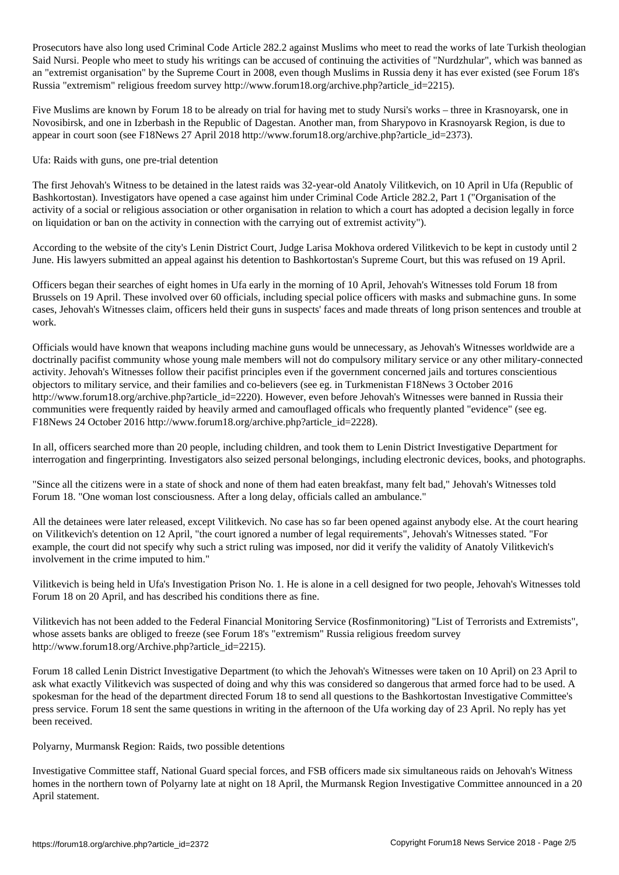Prosecutors have also long used Criminal Code Article 282.2 against Muslims who meet to read the works of late Turkish theologian Said Nursi. People who meet to study his writings can be accused of continuing the activities of "Nurdzhular", which was banned as an "extremist organisation" by the Supreme Court in 2008, even though Muslims in Russia deny it has ever existed (see Forum 18's Russia "extremism" religious freedom survey http://www.forum18.org/archive.php?article\_id=2215).

Five Muslims are known by Forum 18 to be already on trial for having met to study Nursi's works – three in Krasnoyarsk, one in Novosibirsk, and one in Izberbash in the Republic of Dagestan. Another man, from Sharypovo in Krasnoyarsk Region, is due to appear in court soon (see F18News 27 April 2018 http://www.forum18.org/archive.php?article\_id=2373).

## Ufa: Raids with guns, one pre-trial detention

The first Jehovah's Witness to be detained in the latest raids was 32-year-old Anatoly Vilitkevich, on 10 April in Ufa (Republic of Bashkortostan). Investigators have opened a case against him under Criminal Code Article 282.2, Part 1 ("Organisation of the activity of a social or religious association or other organisation in relation to which a court has adopted a decision legally in force on liquidation or ban on the activity in connection with the carrying out of extremist activity").

According to the website of the city's Lenin District Court, Judge Larisa Mokhova ordered Vilitkevich to be kept in custody until 2 June. His lawyers submitted an appeal against his detention to Bashkortostan's Supreme Court, but this was refused on 19 April.

Officers began their searches of eight homes in Ufa early in the morning of 10 April, Jehovah's Witnesses told Forum 18 from Brussels on 19 April. These involved over 60 officials, including special police officers with masks and submachine guns. In some cases, Jehovah's Witnesses claim, officers held their guns in suspects' faces and made threats of long prison sentences and trouble at work.

Officials would have known that weapons including machine guns would be unnecessary, as Jehovah's Witnesses worldwide are a doctrinally pacifist community whose young male members will not do compulsory military service or any other military-connected activity. Jehovah's Witnesses follow their pacifist principles even if the government concerned jails and tortures conscientious objectors to military service, and their families and co-believers (see eg. in Turkmenistan F18News 3 October 2016 http://www.forum18.org/archive.php?article\_id=2220). However, even before Jehovah's Witnesses were banned in Russia their communities were frequently raided by heavily armed and camouflaged officals who frequently planted "evidence" (see eg. F18News 24 October 2016 http://www.forum18.org/archive.php?article\_id=2228).

In all, officers searched more than 20 people, including children, and took them to Lenin District Investigative Department for interrogation and fingerprinting. Investigators also seized personal belongings, including electronic devices, books, and photographs.

"Since all the citizens were in a state of shock and none of them had eaten breakfast, many felt bad," Jehovah's Witnesses told Forum 18. "One woman lost consciousness. After a long delay, officials called an ambulance."

All the detainees were later released, except Vilitkevich. No case has so far been opened against anybody else. At the court hearing on Vilitkevich's detention on 12 April, "the court ignored a number of legal requirements", Jehovah's Witnesses stated. "For example, the court did not specify why such a strict ruling was imposed, nor did it verify the validity of Anatoly Vilitkevich's involvement in the crime imputed to him."

Vilitkevich is being held in Ufa's Investigation Prison No. 1. He is alone in a cell designed for two people, Jehovah's Witnesses told Forum 18 on 20 April, and has described his conditions there as fine.

Vilitkevich has not been added to the Federal Financial Monitoring Service (Rosfinmonitoring) "List of Terrorists and Extremists", whose assets banks are obliged to freeze (see Forum 18's "extremism" Russia religious freedom survey http://www.forum18.org/Archive.php?article\_id=2215).

Forum 18 called Lenin District Investigative Department (to which the Jehovah's Witnesses were taken on 10 April) on 23 April to ask what exactly Vilitkevich was suspected of doing and why this was considered so dangerous that armed force had to be used. A spokesman for the head of the department directed Forum 18 to send all questions to the Bashkortostan Investigative Committee's press service. Forum 18 sent the same questions in writing in the afternoon of the Ufa working day of 23 April. No reply has yet been received.

## Polyarny, Murmansk Region: Raids, two possible detentions

Investigative Committee staff, National Guard special forces, and FSB officers made six simultaneous raids on Jehovah's Witness homes in the northern town of Polyarny late at night on 18 April, the Murmansk Region Investigative Committee announced in a 20 April statement.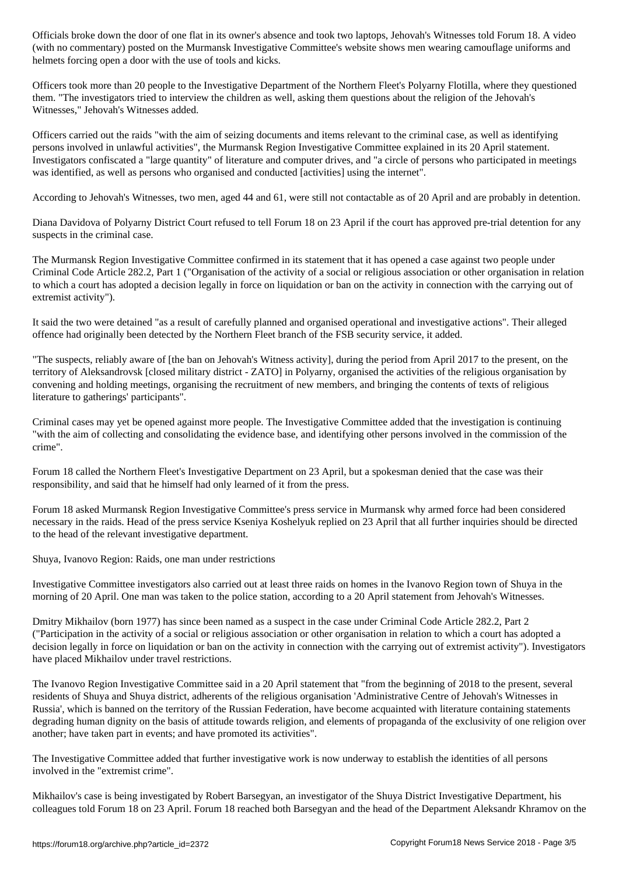$\mathcal{C}$  posted on the Murmansk Investigative Committee's website shows men website shows men website shows men website shows men website shows men website shows men website shows men website shows men website shows men w helmets forcing open a door with the use of tools and kicks.

Officers took more than 20 people to the Investigative Department of the Northern Fleet's Polyarny Flotilla, where they questioned them. "The investigators tried to interview the children as well, asking them questions about the religion of the Jehovah's Witnesses," Jehovah's Witnesses added.

Officers carried out the raids "with the aim of seizing documents and items relevant to the criminal case, as well as identifying persons involved in unlawful activities", the Murmansk Region Investigative Committee explained in its 20 April statement. Investigators confiscated a "large quantity" of literature and computer drives, and "a circle of persons who participated in meetings was identified, as well as persons who organised and conducted [activities] using the internet".

According to Jehovah's Witnesses, two men, aged 44 and 61, were still not contactable as of 20 April and are probably in detention.

Diana Davidova of Polyarny District Court refused to tell Forum 18 on 23 April if the court has approved pre-trial detention for any suspects in the criminal case.

The Murmansk Region Investigative Committee confirmed in its statement that it has opened a case against two people under Criminal Code Article 282.2, Part 1 ("Organisation of the activity of a social or religious association or other organisation in relation to which a court has adopted a decision legally in force on liquidation or ban on the activity in connection with the carrying out of extremist activity").

It said the two were detained "as a result of carefully planned and organised operational and investigative actions". Their alleged offence had originally been detected by the Northern Fleet branch of the FSB security service, it added.

"The suspects, reliably aware of [the ban on Jehovah's Witness activity], during the period from April 2017 to the present, on the territory of Aleksandrovsk [closed military district - ZATO] in Polyarny, organised the activities of the religious organisation by convening and holding meetings, organising the recruitment of new members, and bringing the contents of texts of religious literature to gatherings' participants".

Criminal cases may yet be opened against more people. The Investigative Committee added that the investigation is continuing "with the aim of collecting and consolidating the evidence base, and identifying other persons involved in the commission of the crime".

Forum 18 called the Northern Fleet's Investigative Department on 23 April, but a spokesman denied that the case was their responsibility, and said that he himself had only learned of it from the press.

Forum 18 asked Murmansk Region Investigative Committee's press service in Murmansk why armed force had been considered necessary in the raids. Head of the press service Kseniya Koshelyuk replied on 23 April that all further inquiries should be directed to the head of the relevant investigative department.

Shuya, Ivanovo Region: Raids, one man under restrictions

Investigative Committee investigators also carried out at least three raids on homes in the Ivanovo Region town of Shuya in the morning of 20 April. One man was taken to the police station, according to a 20 April statement from Jehovah's Witnesses.

Dmitry Mikhailov (born 1977) has since been named as a suspect in the case under Criminal Code Article 282.2, Part 2 ("Participation in the activity of a social or religious association or other organisation in relation to which a court has adopted a decision legally in force on liquidation or ban on the activity in connection with the carrying out of extremist activity"). Investigators have placed Mikhailov under travel restrictions.

The Ivanovo Region Investigative Committee said in a 20 April statement that "from the beginning of 2018 to the present, several residents of Shuya and Shuya district, adherents of the religious organisation 'Administrative Centre of Jehovah's Witnesses in Russia', which is banned on the territory of the Russian Federation, have become acquainted with literature containing statements degrading human dignity on the basis of attitude towards religion, and elements of propaganda of the exclusivity of one religion over another; have taken part in events; and have promoted its activities".

The Investigative Committee added that further investigative work is now underway to establish the identities of all persons involved in the "extremist crime".

Mikhailov's case is being investigated by Robert Barsegyan, an investigator of the Shuya District Investigative Department, his colleagues told Forum 18 on 23 April. Forum 18 reached both Barsegyan and the head of the Department Aleksandr Khramov on the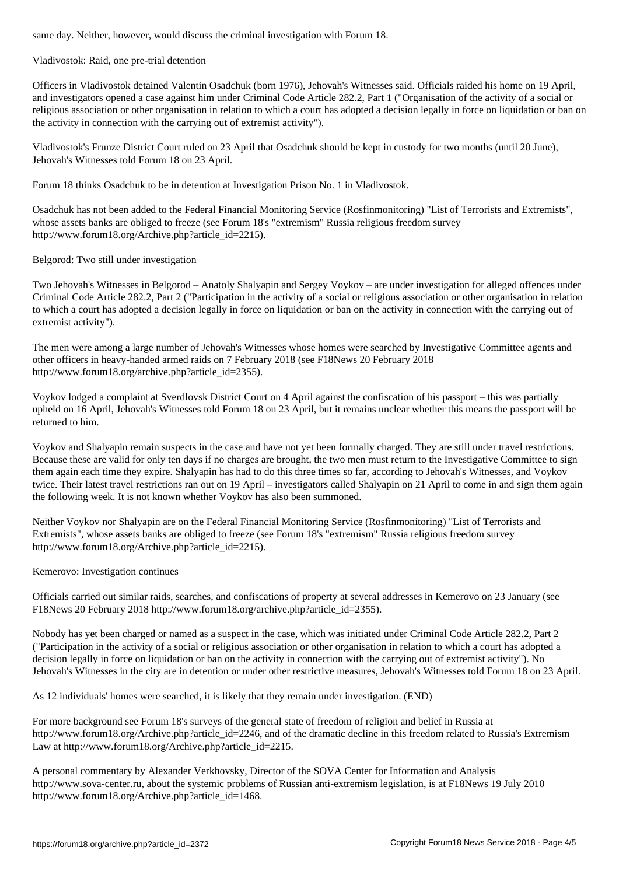Vladivostok: Raid, one pre-trial detention

Officers in Vladivostok detained Valentin Osadchuk (born 1976), Jehovah's Witnesses said. Officials raided his home on 19 April, and investigators opened a case against him under Criminal Code Article 282.2, Part 1 ("Organisation of the activity of a social or religious association or other organisation in relation to which a court has adopted a decision legally in force on liquidation or ban on the activity in connection with the carrying out of extremist activity").

Vladivostok's Frunze District Court ruled on 23 April that Osadchuk should be kept in custody for two months (until 20 June), Jehovah's Witnesses told Forum 18 on 23 April.

Forum 18 thinks Osadchuk to be in detention at Investigation Prison No. 1 in Vladivostok.

Osadchuk has not been added to the Federal Financial Monitoring Service (Rosfinmonitoring) "List of Terrorists and Extremists", whose assets banks are obliged to freeze (see Forum 18's "extremism" Russia religious freedom survey http://www.forum18.org/Archive.php?article\_id=2215).

Belgorod: Two still under investigation

Two Jehovah's Witnesses in Belgorod – Anatoly Shalyapin and Sergey Voykov – are under investigation for alleged offences under Criminal Code Article 282.2, Part 2 ("Participation in the activity of a social or religious association or other organisation in relation to which a court has adopted a decision legally in force on liquidation or ban on the activity in connection with the carrying out of extremist activity").

The men were among a large number of Jehovah's Witnesses whose homes were searched by Investigative Committee agents and other officers in heavy-handed armed raids on 7 February 2018 (see F18News 20 February 2018 http://www.forum18.org/archive.php?article\_id=2355).

Voykov lodged a complaint at Sverdlovsk District Court on 4 April against the confiscation of his passport – this was partially upheld on 16 April, Jehovah's Witnesses told Forum 18 on 23 April, but it remains unclear whether this means the passport will be returned to him.

Voykov and Shalyapin remain suspects in the case and have not yet been formally charged. They are still under travel restrictions. Because these are valid for only ten days if no charges are brought, the two men must return to the Investigative Committee to sign them again each time they expire. Shalyapin has had to do this three times so far, according to Jehovah's Witnesses, and Voykov twice. Their latest travel restrictions ran out on 19 April – investigators called Shalyapin on 21 April to come in and sign them again the following week. It is not known whether Voykov has also been summoned.

Neither Voykov nor Shalyapin are on the Federal Financial Monitoring Service (Rosfinmonitoring) "List of Terrorists and Extremists", whose assets banks are obliged to freeze (see Forum 18's "extremism" Russia religious freedom survey http://www.forum18.org/Archive.php?article\_id=2215).

Kemerovo: Investigation continues

Officials carried out similar raids, searches, and confiscations of property at several addresses in Kemerovo on 23 January (see F18News 20 February 2018 http://www.forum18.org/archive.php?article\_id=2355).

Nobody has yet been charged or named as a suspect in the case, which was initiated under Criminal Code Article 282.2, Part 2 ("Participation in the activity of a social or religious association or other organisation in relation to which a court has adopted a decision legally in force on liquidation or ban on the activity in connection with the carrying out of extremist activity"). No Jehovah's Witnesses in the city are in detention or under other restrictive measures, Jehovah's Witnesses told Forum 18 on 23 April.

As 12 individuals' homes were searched, it is likely that they remain under investigation. (END)

For more background see Forum 18's surveys of the general state of freedom of religion and belief in Russia at http://www.forum18.org/Archive.php?article\_id=2246, and of the dramatic decline in this freedom related to Russia's Extremism Law at http://www.forum18.org/Archive.php?article\_id=2215.

A personal commentary by Alexander Verkhovsky, Director of the SOVA Center for Information and Analysis http://www.sova-center.ru, about the systemic problems of Russian anti-extremism legislation, is at F18News 19 July 2010 http://www.forum18.org/Archive.php?article\_id=1468.